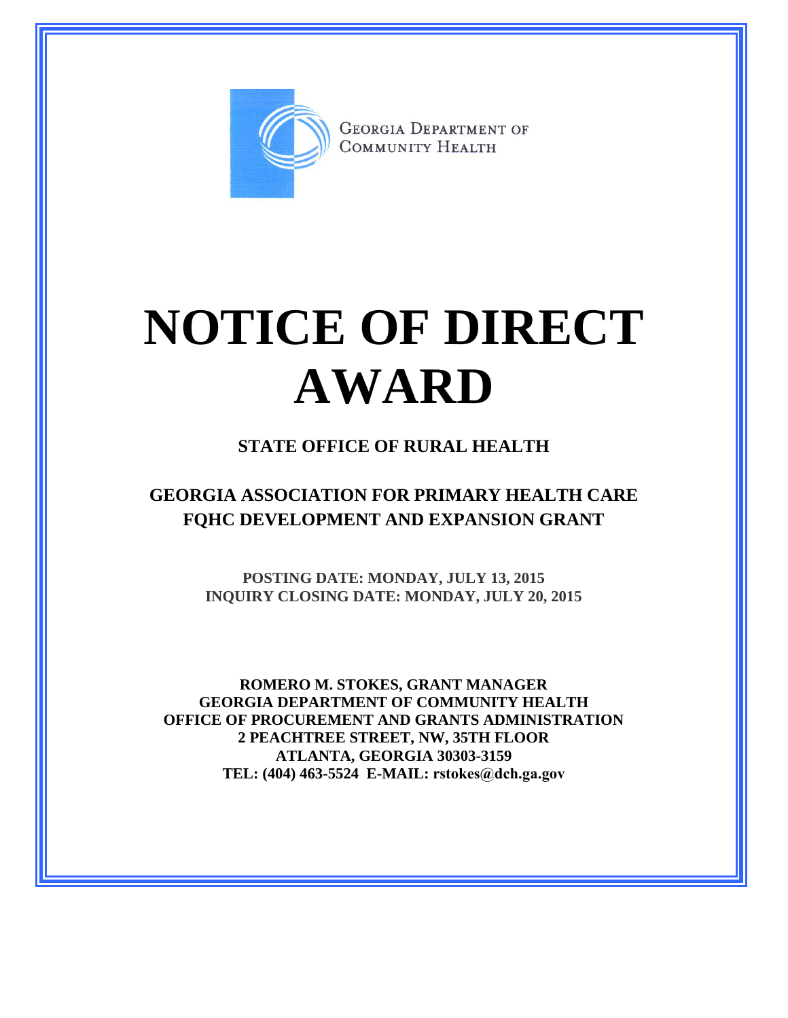

**GEORGIA DEPARTMENT OF** COMMUNITY HEALTH

## **NOTICE OF DIRECT AWARD**

## **STATE OFFICE OF RURAL HEALTH**

**GEORGIA ASSOCIATION FOR PRIMARY HEALTH CARE FQHC DEVELOPMENT AND EXPANSION GRANT**

> **POSTING DATE: MONDAY, JULY 13, 2015 INQUIRY CLOSING DATE: MONDAY, JULY 20, 2015**

**ROMERO M. STOKES, GRANT MANAGER GEORGIA DEPARTMENT OF COMMUNITY HEALTH OFFICE OF PROCUREMENT AND GRANTS ADMINISTRATION 2 PEACHTREE STREET, NW, 35TH FLOOR ATLANTA, GEORGIA 30303-3159 TEL: (404) 463-5524 E-MAIL: rstokes@dch.ga.gov**